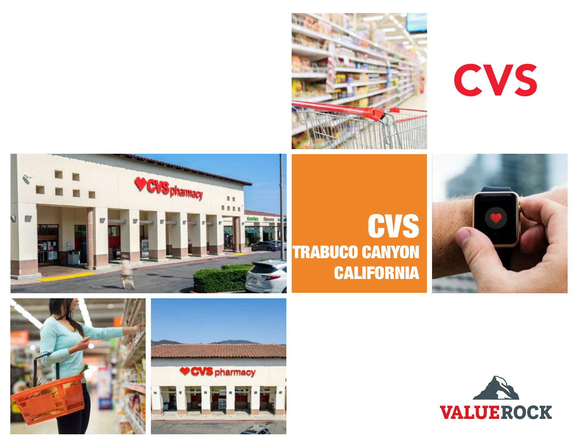

CVS



# **CVS** Trabuco Canyon **CALIFORNIA**





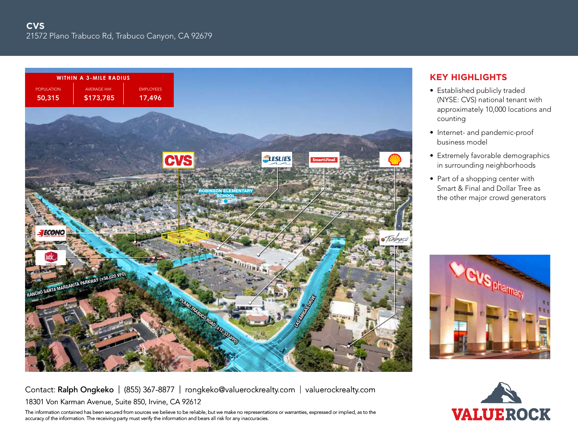

- Established publicly traded (NYSE: CVS) national tenant with approximately 10,000 locations and counting
- Internet- and pandemic-proof business model
- Extremely favorable demographics in surrounding neighborhoods
- Part of a shopping center with Smart & Final and Dollar Tree as the other major crowd generators



# Contact: Ralph Ongkeko | (855) 367-8877 | rongkeko@valuerockrealty.com | valuerockrealty.com 18301 Von Karman Avenue, Suite 850, Irvine, CA 92612

The information contained has been secured from sources we believe to be reliable, but we make no representations or warranties, expressed or implied, as to the accuracy of the information. The receiving party must verify the information and bears all risk for any inaccuracies.

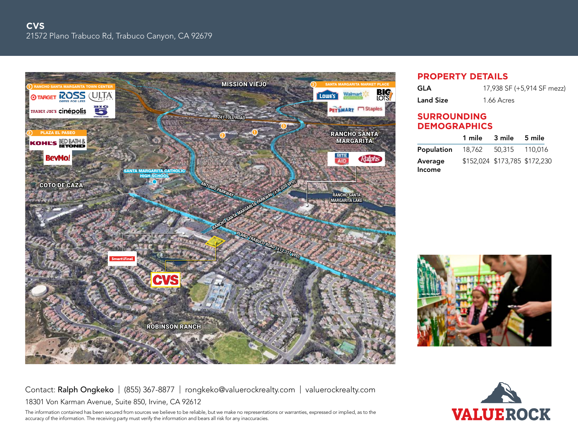

## **property details**

| GLA              | 17,938 SF (+5,914 SF mezz) |
|------------------|----------------------------|
| <b>Land Size</b> | 1.66 Acres                 |

### **Surrounding demographics**

|                                         | 1 mile 3 mile 5 mile          |  |
|-----------------------------------------|-------------------------------|--|
| <b>Population</b> 18,762 50,315 110,016 |                               |  |
| Average<br>Income                       | \$152,024 \$173,785 \$172,230 |  |



Contact: Ralph Ongkeko | (855) 367-8877 | rongkeko@valuerockrealty.com | valuerockrealty.com 18301 Von Karman Avenue, Suite 850, Irvine, CA 92612

The information contained has been secured from sources we believe to be reliable, but we make no representations or warranties, expressed or implied, as to the accuracy of the information. The receiving party must verify the information and bears all risk for any inaccuracies.